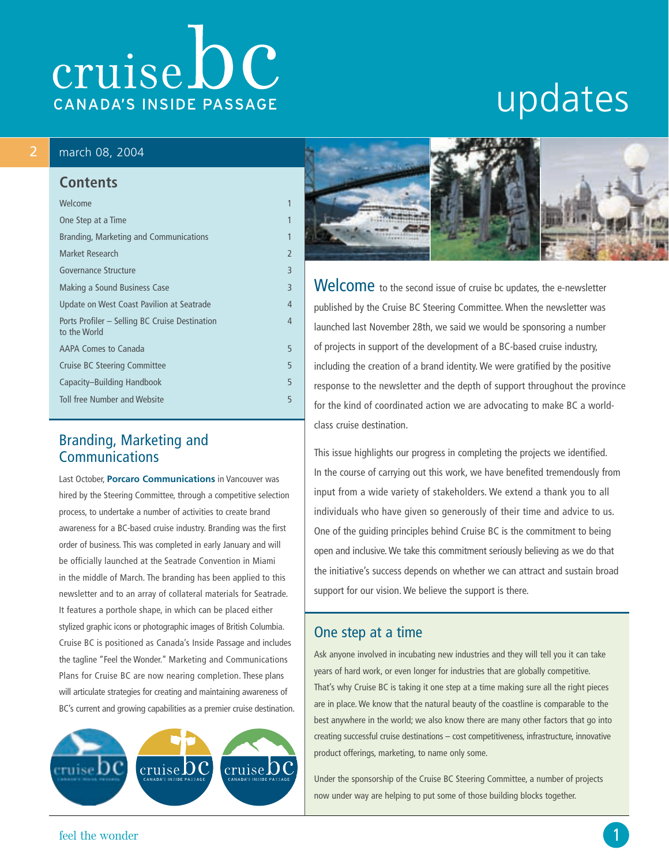# cruise DC CANADA'S INSIDE PASSAGE

# updates

#### 2 march 08, 2004

# **Contents**

| Welcome                                                        | 1              |
|----------------------------------------------------------------|----------------|
| One Step at a Time                                             | 1              |
| Branding, Marketing and Communications                         | 1              |
| Market Research                                                | $\overline{2}$ |
| <b>Governance Structure</b>                                    | 3              |
| Making a Sound Business Case                                   | 3              |
| Update on West Coast Pavilion at Seatrade                      | 4              |
| Ports Profiler – Selling BC Cruise Destination<br>to the World | 4              |
| AAPA Comes to Canada                                           | 5              |
| <b>Cruise BC Steering Committee</b>                            | 5              |
| Capacity-Building Handbook                                     | 5              |
| Toll free Number and Website                                   | 5              |
|                                                                |                |

#### Branding, Marketing and Communications

Last October, **Porcaro Communications** in Vancouver was hired by the Steering Committee, through a competitive selection process, to undertake a number of activities to create brand awareness for a BC-based cruise industry. Branding was the first order of business. This was completed in early January and will be officially launched at the Seatrade Convention in Miami in the middle of March. The branding has been applied to this newsletter and to an array of collateral materials for Seatrade. It features a porthole shape, in which can be placed either stylized graphic icons or photographic images of British Columbia. Cruise BC is positioned as Canada's Inside Passage and includes the tagline "Feel the Wonder." Marketing and Communications Plans for Cruise BC are now nearing completion. These plans will articulate strategies for creating and maintaining awareness of BC's current and growing capabilities as a premier cruise destination.





Welcome to the second issue of cruise bc updates, the e-newsletter published by the Cruise BC Steering Committee. When the newsletter was launched last November 28th, we said we would be sponsoring a number of projects in support of the development of a BC-based cruise industry, including the creation of a brand identity. We were gratified by the positive response to the newsletter and the depth of support throughout the province for the kind of coordinated action we are advocating to make BC a worldclass cruise destination.

This issue highlights our progress in completing the projects we identified. In the course of carrying out this work, we have benefited tremendously from input from a wide variety of stakeholders. We extend a thank you to all individuals who have given so generously of their time and advice to us. One of the guiding principles behind Cruise BC is the commitment to being open and inclusive. We take this commitment seriously believing as we do that the initiative's success depends on whether we can attract and sustain broad support for our vision. We believe the support is there.

#### One step at a time

Ask anyone involved in incubating new industries and they will tell you it can take years of hard work, or even longer for industries that are globally competitive. That's why Cruise BC is taking it one step at a time making sure all the right pieces are in place. We know that the natural beauty of the coastline is comparable to the best anywhere in the world; we also know there are many other factors that go into creating successful cruise destinations – cost competitiveness, infrastructure, innovative product offerings, marketing, to name only some.

Under the sponsorship of the Cruise BC Steering Committee, a number of projects now under way are helping to put some of those building blocks together.

feel the wonder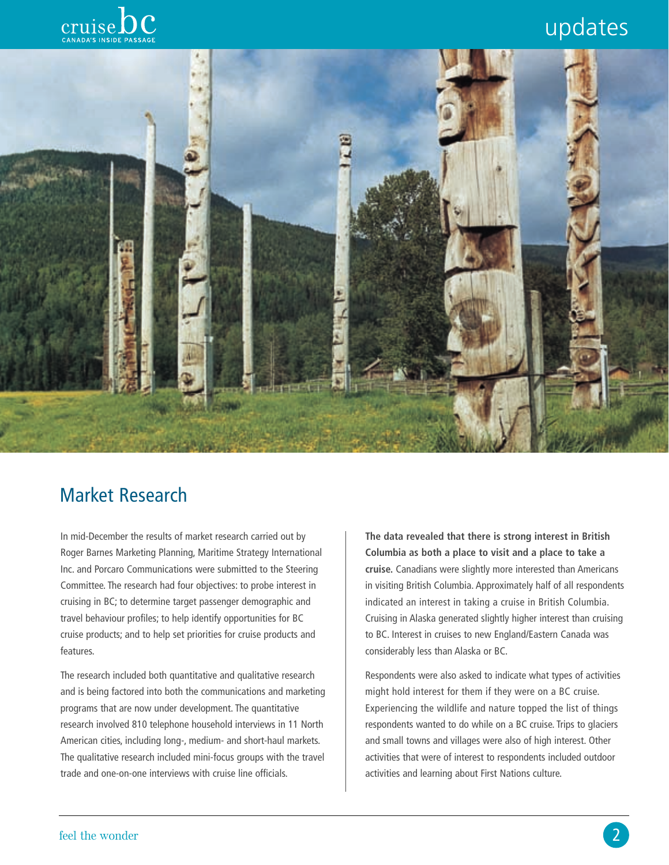# updates





### Market Research

In mid-December the results of market research carried out by Roger Barnes Marketing Planning, Maritime Strategy International Inc. and Porcaro Communications were submitted to the Steering Committee. The research had four objectives: to probe interest in cruising in BC; to determine target passenger demographic and travel behaviour profiles; to help identify opportunities for BC cruise products; and to help set priorities for cruise products and features.

The research included both quantitative and qualitative research and is being factored into both the communications and marketing programs that are now under development. The quantitative research involved 810 telephone household interviews in 11 North American cities, including long-, medium- and short-haul markets. The qualitative research included mini-focus groups with the travel trade and one-on-one interviews with cruise line officials.

**The data revealed that there is strong interest in British Columbia as both a place to visit and a place to take a cruise.** Canadians were slightly more interested than Americans in visiting British Columbia. Approximately half of all respondents indicated an interest in taking a cruise in British Columbia. Cruising in Alaska generated slightly higher interest than cruising to BC. Interest in cruises to new England/Eastern Canada was considerably less than Alaska or BC.

Respondents were also asked to indicate what types of activities might hold interest for them if they were on a BC cruise. Experiencing the wildlife and nature topped the list of things respondents wanted to do while on a BC cruise. Trips to glaciers and small towns and villages were also of high interest. Other activities that were of interest to respondents included outdoor activities and learning about First Nations culture.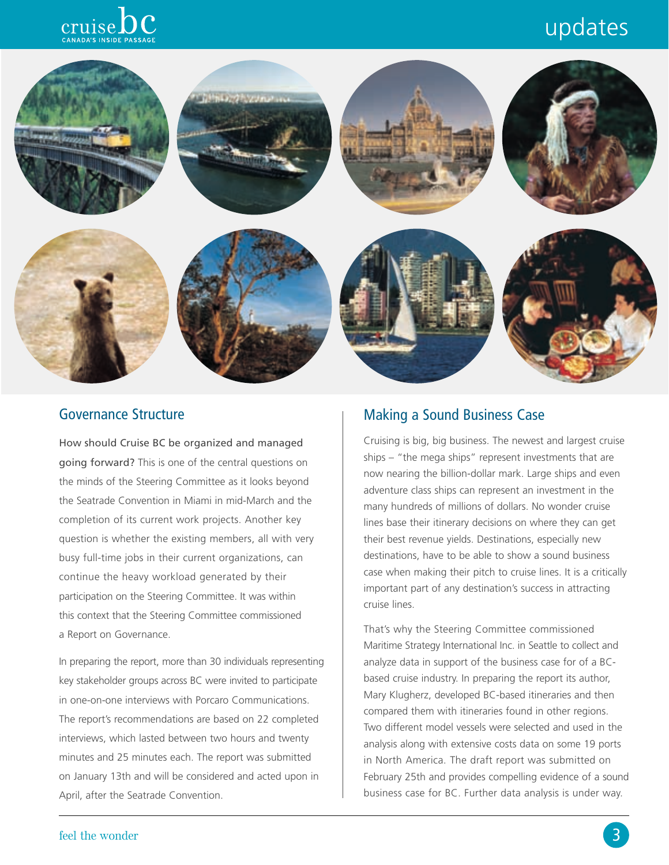# updates





#### Governance Structure

How should Cruise BC be organized and managed going forward? This is one of the central questions on the minds of the Steering Committee as it looks beyond the Seatrade Convention in Miami in mid-March and the completion of its current work projects. Another key question is whether the existing members, all with very busy full-time jobs in their current organizations, can continue the heavy workload generated by their participation on the Steering Committee. It was within this context that the Steering Committee commissioned a Report on Governance.

In preparing the report, more than 30 individuals representing key stakeholder groups across BC were invited to participate in one-on-one interviews with Porcaro Communications. The report's recommendations are based on 22 completed interviews, which lasted between two hours and twenty minutes and 25 minutes each. The report was submitted on January 13th and will be considered and acted upon in April, after the Seatrade Convention.

#### Making a Sound Business Case

Cruising is big, big business. The newest and largest cruise ships – "the mega ships" represent investments that are now nearing the billion-dollar mark. Large ships and even adventure class ships can represent an investment in the many hundreds of millions of dollars. No wonder cruise lines base their itinerary decisions on where they can get their best revenue yields. Destinations, especially new destinations, have to be able to show a sound business case when making their pitch to cruise lines. It is a critically important part of any destination's success in attracting cruise lines.

That's why the Steering Committee commissioned Maritime Strategy International Inc. in Seattle to collect and analyze data in support of the business case for of a BCbased cruise industry. In preparing the report its author, Mary Klugherz, developed BC-based itineraries and then compared them with itineraries found in other regions. Two different model vessels were selected and used in the analysis along with extensive costs data on some 19 ports in North America. The draft report was submitted on February 25th and provides compelling evidence of a sound business case for BC. Further data analysis is under way.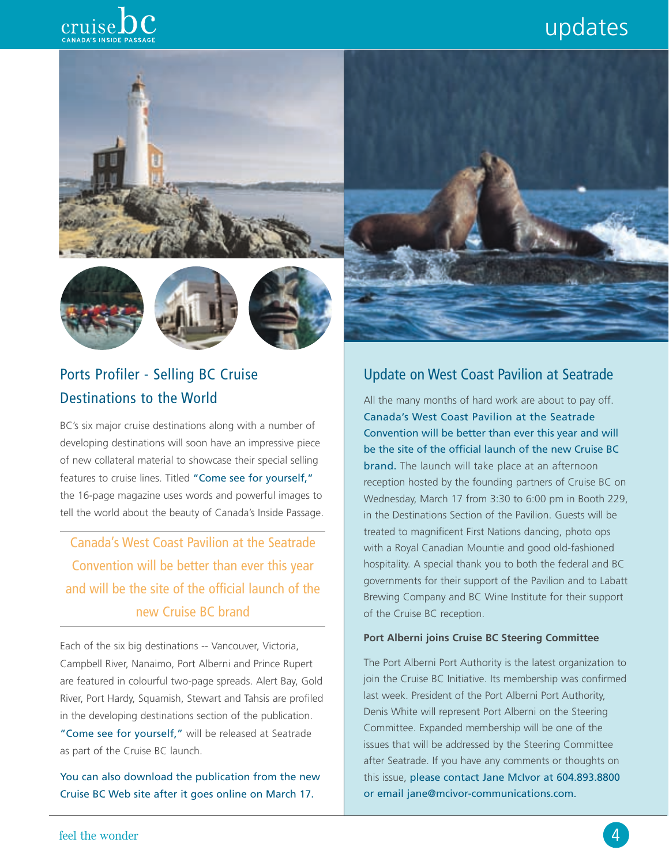# updates







## Ports Profiler - Selling BC Cruise Destinations to the World

BC's six major cruise destinations along with a number of developing destinations will soon have an impressive piece of new collateral material to showcase their special selling features to cruise lines. Titled "Come see for yourself," the 16-page magazine uses words and powerful images to tell the world about the beauty of Canada's Inside Passage.

Canada's West Coast Pavilion at the Seatrade Convention will be better than ever this year and will be the site of the official launch of the new Cruise BC brand

Each of the six big destinations -- Vancouver, Victoria, Campbell River, Nanaimo, Port Alberni and Prince Rupert are featured in colourful two-page spreads. Alert Bay, Gold River, Port Hardy, Squamish, Stewart and Tahsis are profiled in the developing destinations section of the publication. "Come see for yourself," will be released at Seatrade as part of the Cruise BC launch.

You can also download the publication from the new Cruise BC Web site after it goes online on March 17.



All the many months of hard work are about to pay off. Canada's West Coast Pavilion at the Seatrade Convention will be better than ever this year and will be the site of the official launch of the new Cruise BC brand. The launch will take place at an afternoon reception hosted by the founding partners of Cruise BC on Wednesday, March 17 from 3:30 to 6:00 pm in Booth 229, in the Destinations Section of the Pavilion. Guests will be treated to magnificent First Nations dancing, photo ops with a Royal Canadian Mountie and good old-fashioned hospitality. A special thank you to both the federal and BC governments for their support of the Pavilion and to Labatt Brewing Company and BC Wine Institute for their support of the Cruise BC reception.

#### **Port Alberni joins Cruise BC Steering Committee**

The Port Alberni Port Authority is the latest organization to join the Cruise BC Initiative. Its membership was confirmed last week. President of the Port Alberni Port Authority, Denis White will represent Port Alberni on the Steering Committee. Expanded membership will be one of the issues that will be addressed by the Steering Committee after Seatrade. If you have any comments or thoughts on this issue, please contact Jane McIvor at 604.893.8800 or email jane@mcivor-communications.com.